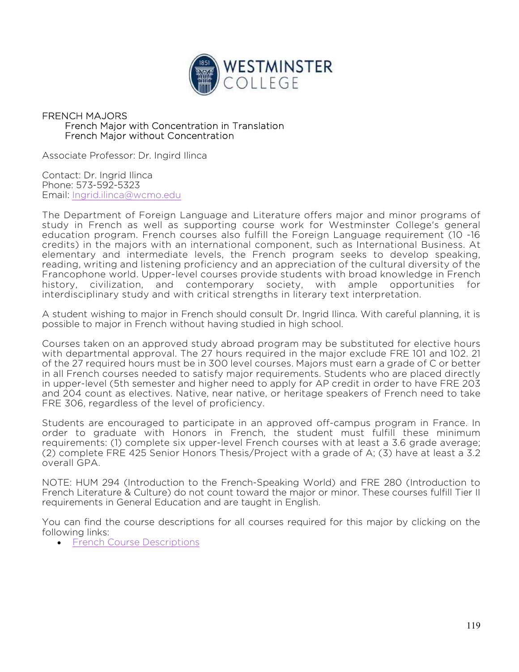

## FRENCH MAJORS French Major with Concentration in Translation French Major without Concentration

Associate Professor: Dr. Ingird Ilinca

Contact: Dr. Ingrid Ilinca Phone: 573-592-5323 Email: Ingrid.ilinca@wcmo.edu

The Department of Foreign Language and Literature offers major and minor programs of study in French as well as supporting course work for Westminster College's general education program. French courses also fulfill the Foreign Language requirement (10 -16 credits) in the majors with an international component, such as International Business. At elementary and intermediate levels, the French program seeks to develop speaking, reading, writing and listening proficiency and an appreciation of the cultural diversity of the Francophone world. Upper-level courses provide students with broad knowledge in French history, civilization, and contemporary society, with ample opportunities for interdisciplinary study and with critical strengths in literary text interpretation.

A student wishing to major in French should consult Dr. Ingrid Ilinca. With careful planning, it is possible to major in French without having studied in high school.

Courses taken on an approved study abroad program may be substituted for elective hours with departmental approval. The 27 hours required in the major exclude FRE 101 and 102. 21 of the 27 required hours must be in 300 level courses. Majors must earn a grade of C or better in all French courses needed to satisfy major requirements. Students who are placed directly in upper-level (5th semester and higher need to apply for AP credit in order to have FRE 203 and 204 count as electives. Native, near native, or heritage speakers of French need to take FRE 306, regardless of the level of proficiency.

Students are encouraged to participate in an approved off-campus program in France. In order to graduate with Honors in French, the student must fulfill these minimum requirements: (1) complete six upper-level French courses with at least a 3.6 grade average; (2) complete FRE 425 Senior Honors Thesis/Project with a grade of A; (3) have at least a 3.2 overall GPA.

NOTE: HUM 294 (Introduction to the French-Speaking World) and FRE 280 (Introduction to French Literature & Culture) do not count toward the major or minor. These courses fulfill Tier II requirements in General Education and are taught in English.

You can find the course descriptions for all courses required for this major by clicking on the following links:

**French Course Descriptions**